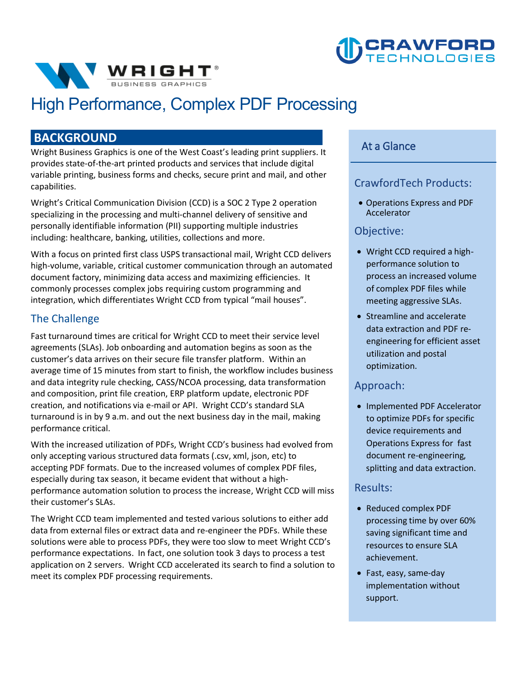



## **High Performance, Complex PDF Processing**

#### **BACKGROUND**

**Wright Business Graphics is one of the West Coast's leading print suppliers. It provides state-of-the-art printed products and services that include digital variable printing, business forms and checks, secure print and mail, and other capabilities.** 

**Wright's Critical Communication Division (CCD) is a SOC 2 Type 2 operation specializing in the processing and multi-channel delivery of sensitive and personally identifiable information (PII) supporting multiple industries including: healthcare, banking, utilities, collections and more.** 

 **integration, which differentiates Wright CCD from typical "mail houses". With a focus on printed first class USPS transactional mail, Wright CCD delivers high-volume, variable, critical customer communication through an automated document factory, minimizing data access and maximizing efficiencies. It commonly processes complex jobs requiring custom programming and** 

#### **The Challenge**

**Fast turnaround times are critical for Wright CCD to meet their service level agreements (SLAs). Job onboarding and automation begins as soon as the customer's data arrives on their secure file transfer platform. Within an average time of 15 minutes from start to finish, the workflow includes business and data integrity rule checking, CASS/NCOA processing, data transformation and composition, print file creation, ERP platform update, electronic PDF creation, and notifications via e-mail or API. Wright CCD's standard SLA turnaround is in by 9 a.m. and out the next business day in the mail, making performance critical.** 

**With the increased utilization of PDFs, Wright CCD's business had evolved from only accepting various structured data formats (.csv, xml, json, etc) to accepting PDF formats. Due to the increased volumes of complex PDF files, especially during tax season, it became evident that without a highperformance automation solution to process the increase, Wright CCD will miss their customer's SLAs.** 

**The Wright CCD team implemented and tested various solutions to either add data from external files or extract data and re-engineer the PDFs. While these solutions were able to process PDFs, they were too slow to meet Wright CCD's performance expectations. In fact, one solution took 3 days to process a test application on 2 servers. Wright CCD accelerated its search to find a solution to meet its complex PDF processing requirements.** 

#### **At a Glance**

#### **CrawfordTech Products:**

• **Operations Express and PDF Accelerator**

#### **Objective:**

- **Wright CCD required a highperformance solution to process an increased volume of complex PDF files while meeting aggressive SLAs.**
- **•** Streamline and accelerate **data extraction and PDF reengineering for efficient asset utilization and postal optimization.**

#### **Approach:**

• **Implemented PDF Accelerator to optimize PDFs for specific device requirements and Operations Express for fast document re-engineering, splitting and data extraction.**

#### **Results:**

- **Reduced complex PDF processing time by over 60% saving significant time and resources to ensure SLA achievement.**
- **Fast, easy, same-day implementation without support.**